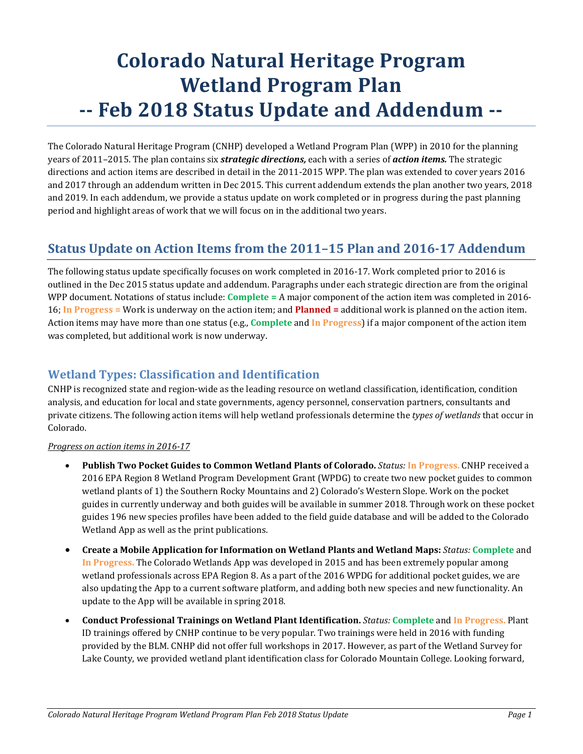# **Colorado Natural Heritage Program Wetland Program Plan -- Feb 2018 Status Update and Addendum --**

The Colorado Natural Heritage Program (CNHP) developed a Wetland Program Plan (WPP) in 2010 for the planning years of 2011–2015. The plan contains six *strategic directions,* each with a series of *action items.* The strategic directions and action items are described in detail in the 2011-2015 WPP. The plan was extended to cover years 2016 and 2017 through an addendum written in Dec 2015. This current addendum extends the plan another two years, 2018 and 2019. In each addendum, we provide a status update on work completed or in progress during the past planning period and highlight areas of work that we will focus on in the additional two years.

# **Status Update on Action Items from the 2011–15 Plan and 2016-17 Addendum**

The following status update specifically focuses on work completed in 2016-17. Work completed prior to 2016 is outlined in the Dec 2015 status update and addendum. Paragraphs under each strategic direction are from the original WPP document. Notations of status include: **Complete =** A major component of the action item was completed in 2016- 16; **In Progress =** Work is underway on the action item; and **Planned =** additional work is planned on the action item. Action items may have more than one status (e.g., **Complete** and **In Progress**) if a major component of the action item was completed, but additional work is now underway.

# **Wetland Types: Classification and Identification**

CNHP is recognized state and region-wide as the leading resource on wetland classification, identification, condition analysis, and education for local and state governments, agency personnel, conservation partners, consultants and private citizens. The following action items will help wetland professionals determine the *types of wetlands* that occur in Colorado.

- **Publish Two Pocket Guides to Common Wetland Plants of Colorado.** *Status:* **In Progress.** CNHP received a 2016 EPA Region 8 Wetland Program Development Grant (WPDG) to create two new pocket guides to common wetland plants of 1) the Southern Rocky Mountains and 2) Colorado's Western Slope. Work on the pocket guides in currently underway and both guides will be available in summer 2018. Through work on these pocket guides 196 new species profiles have been added to the field guide database and will be added to the Colorado Wetland App as well as the print publications.
- **Create a Mobile Application for Information on Wetland Plants and Wetland Maps:** *Status:* **Complete** and **In Progress.** The Colorado Wetlands App was developed in 2015 and has been extremely popular among wetland professionals across EPA Region 8. As a part of the 2016 WPDG for additional pocket guides, we are also updating the App to a current software platform, and adding both new species and new functionality. An update to the App will be available in spring 2018.
- **Conduct Professional Trainings on Wetland Plant Identification.** *Status:* **Complete** and **In Progress.** Plant ID trainings offered by CNHP continue to be very popular. Two trainings were held in 2016 with funding provided by the BLM. CNHP did not offer full workshops in 2017. However, as part of the Wetland Survey for Lake County, we provided wetland plant identification class for Colorado Mountain College. Looking forward,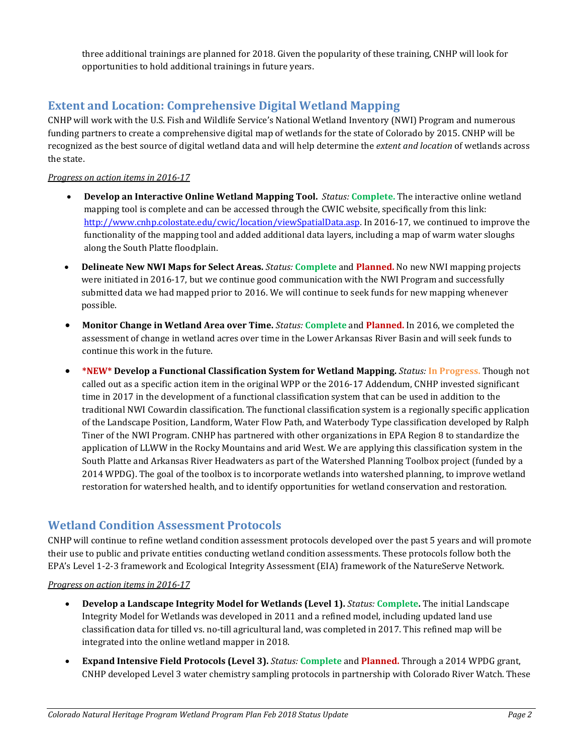three additional trainings are planned for 2018. Given the popularity of these training, CNHP will look for opportunities to hold additional trainings in future years.

# **Extent and Location: Comprehensive Digital Wetland Mapping**

CNHP will work with the U.S. Fish and Wildlife Service's National Wetland Inventory (NWI) Program and numerous funding partners to create a comprehensive digital map of wetlands for the state of Colorado by 2015. CNHP will be recognized as the best source of digital wetland data and will help determine the *extent and location* of wetlands across the state.

#### *Progress on action items in 2016-17*

- **Develop an Interactive Online Wetland Mapping Tool.** *Status:* **Complete.** The interactive online wetland mapping tool is complete and can be accessed through the CWIC website, specifically from this link: [http://www.cnhp.colostate.edu/cwic/location/viewSpatialData.asp.](http://www.cnhp.colostate.edu/cwic/location/viewSpatialData.asp) In 2016-17, we continued to improve the functionality of the mapping tool and added additional data layers, including a map of warm water sloughs along the South Platte floodplain.
- **Delineate New NWI Maps for Select Areas.** *Status:* **Complete** and **Planned.** No new NWI mapping projects were initiated in 2016-17, but we continue good communication with the NWI Program and successfully submitted data we had mapped prior to 2016. We will continue to seek funds for new mapping whenever possible.
- **Monitor Change in Wetland Area over Time.** *Status:* **Complete** and **Planned.** In 2016, we completed the assessment of change in wetland acres over time in the Lower Arkansas River Basin and will seek funds to continue this work in the future.
- **\*NEW\* Develop a Functional Classification System for Wetland Mapping.** *Status:* **In Progress.** Though not called out as a specific action item in the original WPP or the 2016-17 Addendum, CNHP invested significant time in 2017 in the development of a functional classification system that can be used in addition to the traditional NWI Cowardin classification. The functional classification system is a regionally specific application of the Landscape Position, Landform, Water Flow Path, and Waterbody Type classification developed by Ralph Tiner of the NWI Program. CNHP has partnered with other organizations in EPA Region 8 to standardize the application of LLWW in the Rocky Mountains and arid West. We are applying this classification system in the South Platte and Arkansas River Headwaters as part of the Watershed Planning Toolbox project (funded by a 2014 WPDG). The goal of the toolbox is to incorporate wetlands into watershed planning, to improve wetland restoration for watershed health, and to identify opportunities for wetland conservation and restoration.

## **Wetland Condition Assessment Protocols**

CNHP will continue to refine wetland condition assessment protocols developed over the past 5 years and will promote their use to public and private entities conducting wetland condition assessments. These protocols follow both the EPA's Level 1-2-3 framework and Ecological Integrity Assessment (EIA) framework of the NatureServe Network.

- **Develop a Landscape Integrity Model for Wetlands (Level 1).** *Status:* **Complete.** The initial Landscape Integrity Model for Wetlands was developed in 2011 and a refined model, including updated land use classification data for tilled vs. no-till agricultural land, was completed in 2017. This refined map will be integrated into the online wetland mapper in 2018.
- **Expand Intensive Field Protocols (Level 3).** *Status:* **Complete** and **Planned.** Through a 2014 WPDG grant, CNHP developed Level 3 water chemistry sampling protocols in partnership with Colorado River Watch. These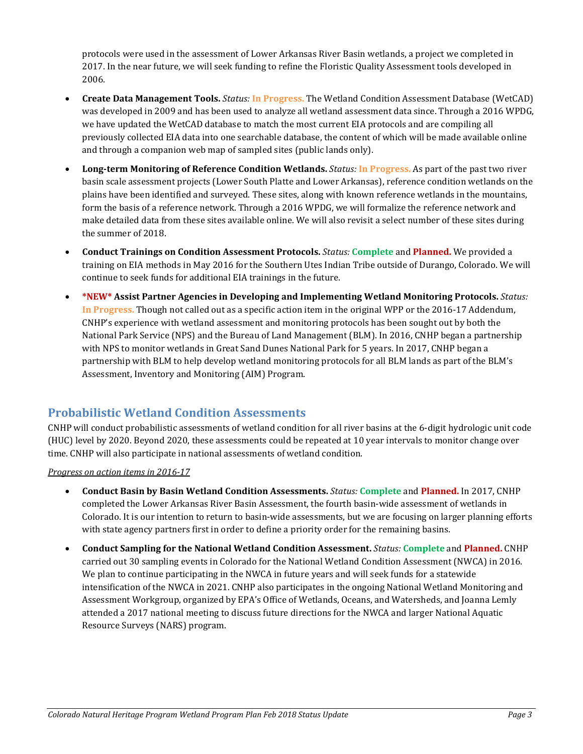protocols were used in the assessment of Lower Arkansas River Basin wetlands, a project we completed in 2017. In the near future, we will seek funding to refine the Floristic Quality Assessment tools developed in 2006.

- **Create Data Management Tools.** *Status:* **In Progress.** The Wetland Condition Assessment Database (WetCAD) was developed in 2009 and has been used to analyze all wetland assessment data since. Through a 2016 WPDG, we have updated the WetCAD database to match the most current EIA protocols and are compiling all previously collected EIA data into one searchable database, the content of which will be made available online and through a companion web map of sampled sites (public lands only).
- **Long-term Monitoring of Reference Condition Wetlands.** *Status:* **In Progress.** As part of the past two river basin scale assessment projects (Lower South Platte and Lower Arkansas), reference condition wetlands on the plains have been identified and surveyed. These sites, along with known reference wetlands in the mountains, form the basis of a reference network. Through a 2016 WPDG, we will formalize the reference network and make detailed data from these sites available online. We will also revisit a select number of these sites during the summer of 2018.
- **Conduct Trainings on Condition Assessment Protocols.** *Status:* **Complete** and **Planned.** We provided a training on EIA methods in May 2016 for the Southern Utes Indian Tribe outside of Durango, Colorado. We will continue to seek funds for additional EIA trainings in the future.
- **\*NEW\* Assist Partner Agencies in Developing and Implementing Wetland Monitoring Protocols.** *Status:* **In Progress.** Though not called out as a specific action item in the original WPP or the 2016-17 Addendum, CNHP's experience with wetland assessment and monitoring protocols has been sought out by both the National Park Service (NPS) and the Bureau of Land Management (BLM). In 2016, CNHP began a partnership with NPS to monitor wetlands in Great Sand Dunes National Park for 5 years. In 2017, CNHP began a partnership with BLM to help develop wetland monitoring protocols for all BLM lands as part of the BLM's Assessment, Inventory and Monitoring (AIM) Program.

# **Probabilistic Wetland Condition Assessments**

CNHP will conduct probabilistic assessments of wetland condition for all river basins at the 6-digit hydrologic unit code (HUC) level by 2020. Beyond 2020, these assessments could be repeated at 10 year intervals to monitor change over time. CNHP will also participate in national assessments of wetland condition.

- **Conduct Basin by Basin Wetland Condition Assessments.** *Status:* **Complete** and **Planned.** In 2017, CNHP completed the Lower Arkansas River Basin Assessment, the fourth basin-wide assessment of wetlands in Colorado. It is our intention to return to basin-wide assessments, but we are focusing on larger planning efforts with state agency partners first in order to define a priority order for the remaining basins.
- **Conduct Sampling for the National Wetland Condition Assessment.** *Status:* **Complete** and **Planned.** CNHP carried out 30 sampling events in Colorado for the National Wetland Condition Assessment (NWCA) in 2016. We plan to continue participating in the NWCA in future years and will seek funds for a statewide intensification of the NWCA in 2021. CNHP also participates in the ongoing National Wetland Monitoring and Assessment Workgroup, organized by EPA's Office of Wetlands, Oceans, and Watersheds, and Joanna Lemly attended a 2017 national meeting to discuss future directions for the NWCA and larger National Aquatic Resource Surveys (NARS) program.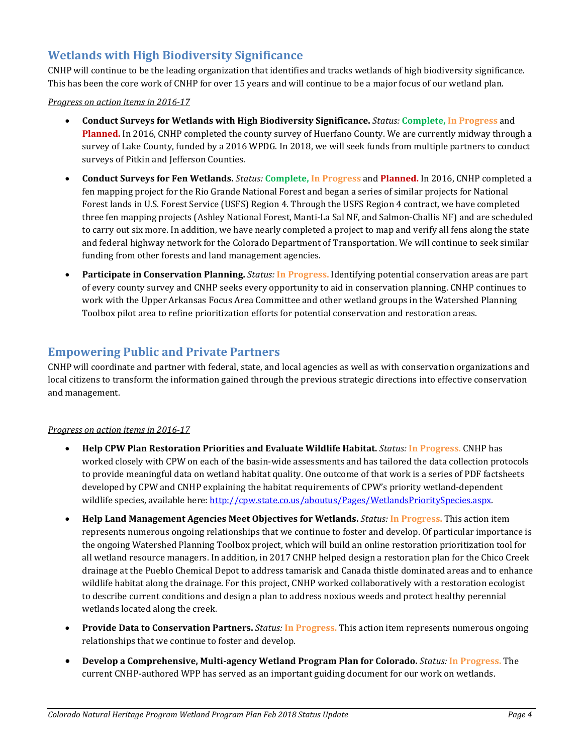# **Wetlands with High Biodiversity Significance**

CNHP will continue to be the leading organization that identifies and tracks wetlands of high biodiversity significance. This has been the core work of CNHP for over 15 years and will continue to be a major focus of our wetland plan.

*Progress on action items in 2016-17*

- **Conduct Surveys for Wetlands with High Biodiversity Significance.** *Status:* **Complete, In Progress** and **Planned.** In 2016, CNHP completed the county survey of Huerfano County. We are currently midway through a survey of Lake County, funded by a 2016 WPDG. In 2018, we will seek funds from multiple partners to conduct surveys of Pitkin and Jefferson Counties.
- **Conduct Surveys for Fen Wetlands.** *Status:* **Complete, In Progress** and **Planned.** In 2016, CNHP completed a fen mapping project for the Rio Grande National Forest and began a series of similar projects for National Forest lands in U.S. Forest Service (USFS) Region 4. Through the USFS Region 4 contract, we have completed three fen mapping projects (Ashley National Forest, Manti-La Sal NF, and Salmon-Challis NF) and are scheduled to carry out six more. In addition, we have nearly completed a project to map and verify all fens along the state and federal highway network for the Colorado Department of Transportation. We will continue to seek similar funding from other forests and land management agencies.
- **Participate in Conservation Planning.** *Status:* **In Progress.** Identifying potential conservation areas are part of every county survey and CNHP seeks every opportunity to aid in conservation planning. CNHP continues to work with the Upper Arkansas Focus Area Committee and other wetland groups in the Watershed Planning Toolbox pilot area to refine prioritization efforts for potential conservation and restoration areas.

## **Empowering Public and Private Partners**

CNHP will coordinate and partner with federal, state, and local agencies as well as with conservation organizations and local citizens to transform the information gained through the previous strategic directions into effective conservation and management.

- **Help CPW Plan Restoration Priorities and Evaluate Wildlife Habitat.** *Status:* **In Progress.** CNHP has worked closely with CPW on each of the basin-wide assessments and has tailored the data collection protocols to provide meaningful data on wetland habitat quality. One outcome of that work is a series of PDF factsheets developed by CPW and CNHP explaining the habitat requirements of CPW's priority wetland-dependent wildlife species, available here: [http://cpw.state.co.us/aboutus/Pages/WetlandsPrioritySpecies.aspx.](http://cpw.state.co.us/aboutus/Pages/WetlandsPrioritySpecies.aspx)
- **Help Land Management Agencies Meet Objectives for Wetlands.** *Status:* **In Progress.** This action item represents numerous ongoing relationships that we continue to foster and develop. Of particular importance is the ongoing Watershed Planning Toolbox project, which will build an online restoration prioritization tool for all wetland resource managers. In addition, in 2017 CNHP helped design a restoration plan for the Chico Creek drainage at the Pueblo Chemical Depot to address tamarisk and Canada thistle dominated areas and to enhance wildlife habitat along the drainage. For this project, CNHP worked collaboratively with a restoration ecologist to describe current conditions and design a plan to address noxious weeds and protect healthy perennial wetlands located along the creek.
- **Provide Data to Conservation Partners.** *Status:* **In Progress.** This action item represents numerous ongoing relationships that we continue to foster and develop.
- **Develop a Comprehensive, Multi-agency Wetland Program Plan for Colorado.** *Status:* **In Progress.** The current CNHP-authored WPP has served as an important guiding document for our work on wetlands.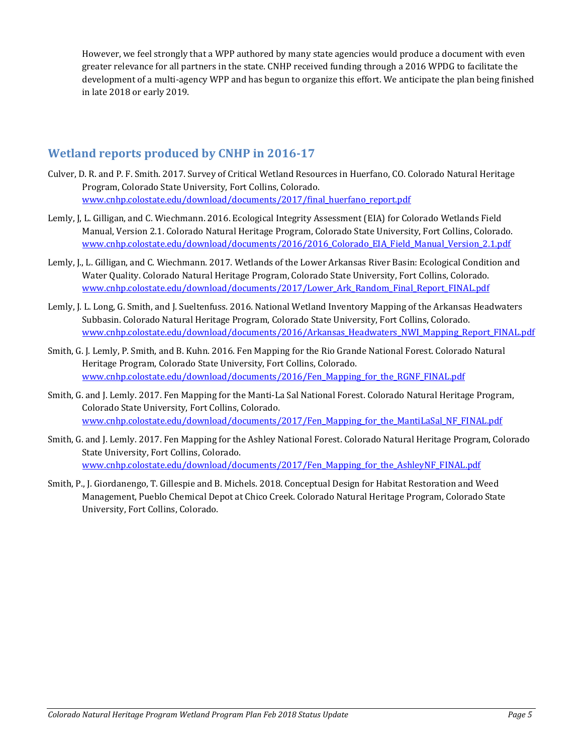However, we feel strongly that a WPP authored by many state agencies would produce a document with even greater relevance for all partners in the state. CNHP received funding through a 2016 WPDG to facilitate the development of a multi-agency WPP and has begun to organize this effort. We anticipate the plan being finished in late 2018 or early 2019.

# **Wetland reports produced by CNHP in 2016-17**

- Culver, D. R. and P. F. Smith. 2017. Survey of Critical Wetland Resources in Huerfano, CO. Colorado Natural Heritage Program, Colorado State University, Fort Collins, Colorado. [www.cnhp.colostate.edu/download/documents/2017/final\\_huerfano\\_report.pdf](http://www.cnhp.colostate.edu/download/documents/2017/final_huerfano_report.pdf)
- Lemly, J, L. Gilligan, and C. Wiechmann. 2016. Ecological Integrity Assessment (EIA) for Colorado Wetlands Field Manual, Version 2.1. Colorado Natural Heritage Program, Colorado State University, Fort Collins, Colorado. [www.cnhp.colostate.edu/download/documents/2016/2016\\_Colorado\\_EIA\\_Field\\_Manual\\_Version\\_2.1.pdf](http://www.cnhp.colostate.edu/download/documents/2016/2016_Colorado_EIA_Field_Manual_Version_2.1.pdf)
- Lemly, J., L. Gilligan, and C. Wiechmann. 2017. Wetlands of the Lower Arkansas River Basin: Ecological Condition and Water Quality. Colorado Natural Heritage Program, Colorado State University, Fort Collins, Colorado. [www.cnhp.colostate.edu/download/documents/2017/Lower\\_Ark\\_Random\\_Final\\_Report\\_FINAL.pdf](http://www.cnhp.colostate.edu/download/documents/2017/Lower_Ark_Random_Final_Report_FINAL.pdf)
- Lemly, J. L. Long, G. Smith, and J. Sueltenfuss. 2016. National Wetland Inventory Mapping of the Arkansas Headwaters Subbasin. Colorado Natural Heritage Program, Colorado State University, Fort Collins, Colorado. [www.cnhp.colostate.edu/download/documents/2016/Arkansas\\_Headwaters\\_NWI\\_Mapping\\_Report\\_FINAL.pdf](http://www.cnhp.colostate.edu/download/documents/2016/Arkansas_Headwaters_NWI_Mapping_Report_FINAL.pdf)
- Smith, G. J. Lemly, P. Smith, and B. Kuhn. 2016. Fen Mapping for the Rio Grande National Forest. Colorado Natural Heritage Program, Colorado State University, Fort Collins, Colorado. [www.cnhp.colostate.edu/download/documents/2016/Fen\\_Mapping\\_for\\_the\\_RGNF\\_FINAL.pdf](http://www.cnhp.colostate.edu/download/documents/2016/Fen_Mapping_for_the_RGNF_FINAL.pdf)
- Smith, G. and J. Lemly. 2017. Fen Mapping for the Manti-La Sal National Forest. Colorado Natural Heritage Program, Colorado State University, Fort Collins, Colorado. [www.cnhp.colostate.edu/download/documents/2017/Fen\\_Mapping\\_for\\_the\\_MantiLaSal\\_NF\\_FINAL.pdf](http://www.cnhp.colostate.edu/download/documents/2017/Fen_Mapping_for_the_MantiLaSal_NF_FINAL.pdf)
- Smith, G. and J. Lemly. 2017. Fen Mapping for the Ashley National Forest. Colorado Natural Heritage Program, Colorado State University, Fort Collins, Colorado. [www.cnhp.colostate.edu/download/documents/2017/Fen\\_Mapping\\_for\\_the\\_AshleyNF\\_FINAL.pdf](http://www.cnhp.colostate.edu/download/documents/2017/Fen_Mapping_for_the_AshleyNF_FINAL.pdf)
- Smith, P., J. Giordanengo, T. Gillespie and B. Michels. 2018. Conceptual Design for Habitat Restoration and Weed Management, Pueblo Chemical Depot at Chico Creek. Colorado Natural Heritage Program, Colorado State University, Fort Collins, Colorado.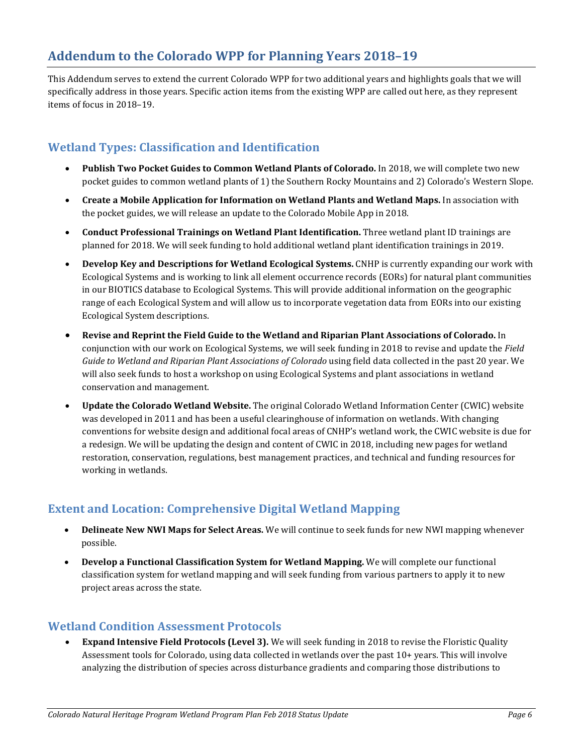# **Addendum to the Colorado WPP for Planning Years 2018–19**

This Addendum serves to extend the current Colorado WPP for two additional years and highlights goals that we will specifically address in those years. Specific action items from the existing WPP are called out here, as they represent items of focus in 2018–19.

# **Wetland Types: Classification and Identification**

- **Publish Two Pocket Guides to Common Wetland Plants of Colorado.** In 2018, we will complete two new pocket guides to common wetland plants of 1) the Southern Rocky Mountains and 2) Colorado's Western Slope.
- **Create a Mobile Application for Information on Wetland Plants and Wetland Maps.** In association with the pocket guides, we will release an update to the Colorado Mobile App in 2018.
- **Conduct Professional Trainings on Wetland Plant Identification.** Three wetland plant ID trainings are planned for 2018. We will seek funding to hold additional wetland plant identification trainings in 2019.
- **Develop Key and Descriptions for Wetland Ecological Systems.** CNHP is currently expanding our work with Ecological Systems and is working to link all element occurrence records (EORs) for natural plant communities in our BIOTICS database to Ecological Systems. This will provide additional information on the geographic range of each Ecological System and will allow us to incorporate vegetation data from EORs into our existing Ecological System descriptions.
- **Revise and Reprint the Field Guide to the Wetland and Riparian Plant Associations of Colorado.** In conjunction with our work on Ecological Systems, we will seek funding in 2018 to revise and update the *Field Guide to Wetland and Riparian Plant Associations of Colorado* using field data collected in the past 20 year. We will also seek funds to host a workshop on using Ecological Systems and plant associations in wetland conservation and management.
- **Update the Colorado Wetland Website.** The original Colorado Wetland Information Center (CWIC) website was developed in 2011 and has been a useful clearinghouse of information on wetlands. With changing conventions for website design and additional focal areas of CNHP's wetland work, the CWIC website is due for a redesign. We will be updating the design and content of CWIC in 2018, including new pages for wetland restoration, conservation, regulations, best management practices, and technical and funding resources for working in wetlands.

# **Extent and Location: Comprehensive Digital Wetland Mapping**

- **Delineate New NWI Maps for Select Areas.** We will continue to seek funds for new NWI mapping whenever possible.
- **Develop a Functional Classification System for Wetland Mapping.** We will complete our functional classification system for wetland mapping and will seek funding from various partners to apply it to new project areas across the state.

## **Wetland Condition Assessment Protocols**

• **Expand Intensive Field Protocols (Level 3).** We will seek funding in 2018 to revise the Floristic Quality Assessment tools for Colorado, using data collected in wetlands over the past 10+ years. This will involve analyzing the distribution of species across disturbance gradients and comparing those distributions to